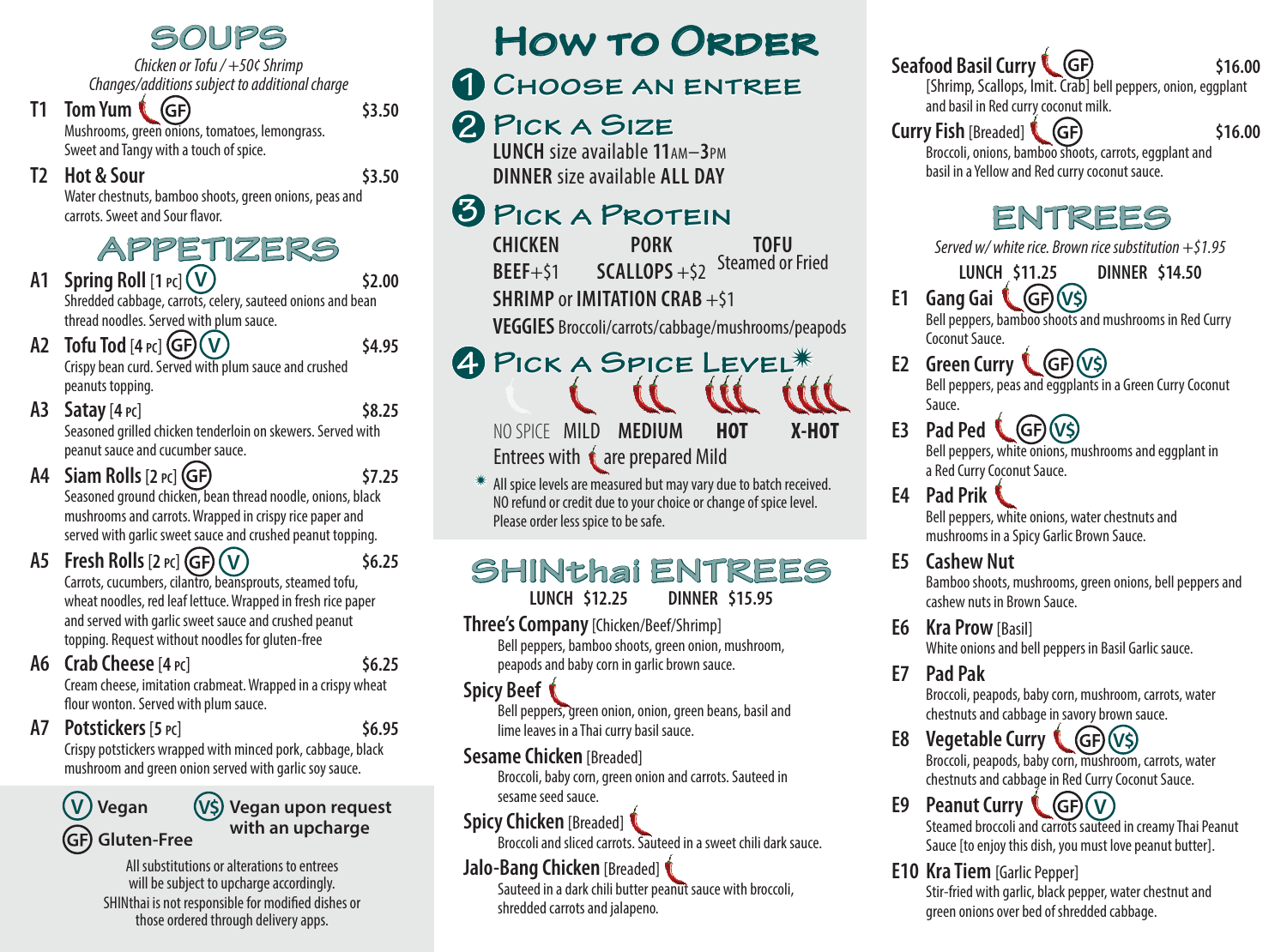**SOUPS**

*Chicken or Tofu / +50¢ Shrimp Changes/additions subject to additional charge*

**T1 Tom Yum** (GF) 53.50 Mushrooms, green onions, tomatoes, lemongrass. Sweet and Tangy with a touch of spice.

**T2 Hot & Sour \$3.50**

Water chestnuts, bamboo shoots, green onions, peas and carrots. Sweet and Sour flavor.

### **APPETIZERS**

- **A1 Spring Roll**  $[1 \text{ pc}](\bigvee)$  \$2.00 Shredded cabbage, carrots, celery, sauteed onions and bean thread noodles. Served with plum sauce.
- **A2 Tofu Tod** [4 **pc**]  $GF(V)$  \$4.95 Crispy bean curd. Served with plum sauce and crushed peanuts topping.
- **A3 Satay**[**4 pc**] **\$8.25** Seasoned grilled chicken tenderloin on skewers. Served with peanut sauce and cucumber sauce.
- **A4 Siam Rolls**[**2 pc**] **\$7.25** Seasoned ground chicken, bean thread noodle, onions, black mushrooms and carrots. Wrapped in crispy rice paper and served with garlic sweet sauce and crushed peanut topping.
- **A5 Fresh Rolls**[**2 pc**] **\$6.25 V** Carrots, cucumbers, cilantro, beansprouts, steamed tofu, wheat noodles, red leaf lettuce. Wrapped in fresh rice paper and served with garlic sweet sauce and crushed peanut topping. Request without noodles for gluten-free
- **A6 Crab Cheese**[**4 pc**] **\$6.25**

Cream cheese, imitation crabmeat. Wrapped in a crispy wheat

flour wonton. Served with plum sauce. **A7 Potstickers**[**5 pc**] **\$6.95**

Crispy potstickers wrapped with minced pork, cabbage, black mushroom and green onion served with garlic soy sauce.



#### **V\$ Vegan upon request with an upcharge**

All substitutions or alterations to entrees

will be subject to upcharge accordingly. SHINthai is not responsible for modified dishes or those ordered through delivery apps.

## **How to Order**

### **Choose an entree 1**

### **Pick a Size 2**

**LUNCH** size available **11**am–**3**pm **DINNER** size available **ALL DAY**

#### **Pick a Protein 3**

**CHICKEN PORK TOFU**  $BEEF+51$   $SCALLOPS+52$ **SHRIMP** or **IMITATION CRAB** +\$1

**VEGGIES** Broccoli/carrots/cabbage/mushrooms/peapods

# **PICK A SPICE LEVEL**<sup>\*</sup>

NO SPICE MILD **MEDIUM HOT X-HOT** Entrees with  $\bullet$  are prepared Mild

 $*$  All spice levels are measured but may vary due to batch received. NO refund or credit due to your choice or change of spice level. Please order less spice to be safe.

## **SHINthai ENTREES**

**LUNCH \$12.25** 

**Three's Company**[Chicken/Beef/Shrimp]

Bell peppers, bamboo shoots, green onion, mushroom, peapods and baby corn in garlic brown sauce.

#### **Spicy Beef**

**4**

Bell peppers, green onion, onion, green beans, basil and lime leaves in a Thai curry basil sauce.

#### **Sesame Chicken** [Breaded]

Broccoli, baby corn, green onion and carrots. Sauteed in sesame seed sauce.

#### **Spicy Chicken** [Breaded]

Broccoli and sliced carrots. Sauteed in a sweet chili dark sauce.

#### **Jalo-Bang Chicken** [Breaded]

Sauteed in a dark chili butter peanut sauce with broccoli, shredded carrots and jalapeno.

**Seafood Basil Curry (GF)** \$16.00

[Shrimp, Scallops, Imit. Crab] bell peppers, onion, eggplant and basil in Red curry coconut milk.

#### **Curry Fish** [Breaded] **(GF)** 516.00 Broccoli, onions, bamboo shoots, carrots, eggplant and basil in a Yellow and Red curry coconut sauce.

### **ENTREES**

*Served w/ white rice. Brown rice substitution +\$1.95*

- **LUNCH \$11.25 DINNER \$14.50**
- **E1 Gang Gai**  $(GF)(V5)$ Bell peppers, bamboo shoots and mushrooms in Red Curry Coconut Sauce.
- **E2 Green Curry** Bell peppers, peas and eggplants in a Green Curry Coconut Sauce. **(GF)(V\$)**
- **E3** Pad Ped (GF) (V\$) Bell peppers, white onions, mushrooms and eggplant in a Red Curry Coconut Sauce.
- **E4 Pad Prik** Bell peppers, white onions, water chestnuts and mushrooms in a Spicy Garlic Brown Sauce.
- **E5 Cashew Nut**

Bamboo shoots, mushrooms, green onions, bell peppers and cashew nuts in Brown Sauce.

- **E6 Kra Prow**[Basil] White onions and bell peppers in Basil Garlic sauce.
- **E7 Pad Pak**

Broccoli, peapods, baby corn, mushroom, carrots, water chestnuts and cabbage in savory brown sauce.

### **E8** Vegetable Curry (GF) (V\$)

Broccoli, peapods, baby corn, mushroom, carrots, water chestnuts and cabbage in Red Curry Coconut Sauce.

### **E9** Peanut Curry (GF) (V)

Steamed broccoli and carrots sauteed in creamy Thai Peanut Sauce [to enjoy this dish, you must love peanut butter].

#### **E10 Kra Tiem** [Garlic Pepper]

Stir-fried with garlic, black pepper, water chestnut and green onions over bed of shredded cabbage.